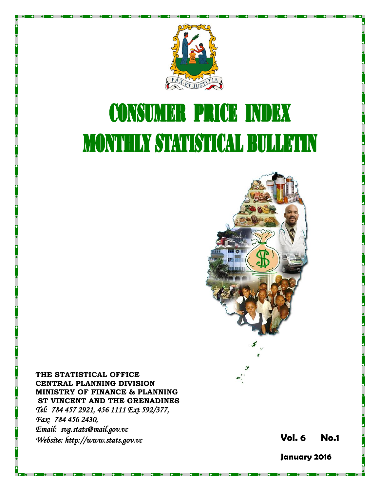

# **CONSUMER PRICE INDEX MONTHLY STATISTICAL BULLETIN**



**THE STATISTICAL OFFICE CENTRAL PLANNING DIVISION MINISTRY OF FINANCE & PLANNING ST VINCENT AND THE GRENADINES** *Tel: 784 457 2921, 456 1111 Ext 592/377, Fax: 784 456 2430, Email: svg.stats@mail.gov.vc Website: http://www.stats.gov.vc* **Vol. 6** 

**6 No. 1**

**January 2016**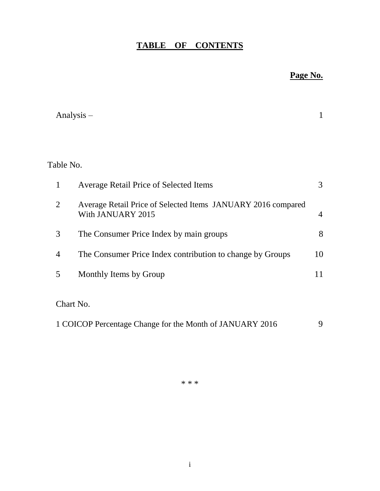## **TABLE OF CONTENTS**

## **Page No.**

|                | Analysis $-$                                                                      | 1              |
|----------------|-----------------------------------------------------------------------------------|----------------|
|                |                                                                                   |                |
| Table No.      |                                                                                   |                |
| 1              | <b>Average Retail Price of Selected Items</b>                                     | 3              |
| $\overline{2}$ | Average Retail Price of Selected Items JANUARY 2016 compared<br>With JANUARY 2015 | $\overline{4}$ |
| 3              | The Consumer Price Index by main groups                                           | 8              |
| $\overline{4}$ | The Consumer Price Index contribution to change by Groups                         | 10             |
| 5              | Monthly Items by Group                                                            | 11             |
| Chart No.      |                                                                                   |                |
|                | 1 COICOP Percentage Change for the Month of JANUARY 2016                          | 9              |

\* \* \*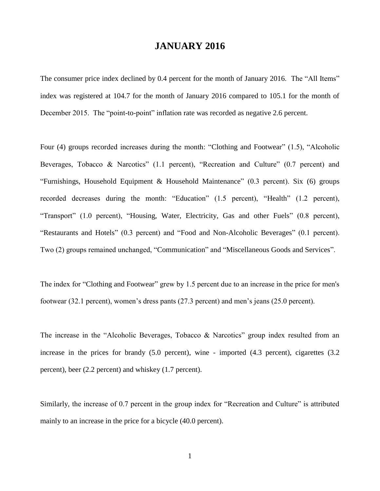### **JANUARY 2016**

The consumer price index declined by 0.4 percent for the month of January 2016. The "All Items" index was registered at 104.7 for the month of January 2016 compared to 105.1 for the month of December 2015. The "point-to-point" inflation rate was recorded as negative 2.6 percent.

Four (4) groups recorded increases during the month: "Clothing and Footwear" (1.5), "Alcoholic Beverages, Tobacco & Narcotics" (1.1 percent), "Recreation and Culture" (0.7 percent) and "Furnishings, Household Equipment & Household Maintenance" (0.3 percent). Six (6) groups recorded decreases during the month: "Education" (1.5 percent), "Health" (1.2 percent), "Transport" (1.0 percent), "Housing, Water, Electricity, Gas and other Fuels" (0.8 percent), "Restaurants and Hotels" (0.3 percent) and "Food and Non-Alcoholic Beverages" (0.1 percent). Two (2) groups remained unchanged, "Communication" and "Miscellaneous Goods and Services".

The index for "Clothing and Footwear" grew by 1.5 percent due to an increase in the price for men's footwear (32.1 percent), women's dress pants (27.3 percent) and men's jeans (25.0 percent).

The increase in the "Alcoholic Beverages, Tobacco & Narcotics" group index resulted from an increase in the prices for brandy (5.0 percent), wine - imported (4.3 percent), cigarettes (3.2 percent), beer (2.2 percent) and whiskey (1.7 percent).

Similarly, the increase of 0.7 percent in the group index for "Recreation and Culture" is attributed mainly to an increase in the price for a bicycle (40.0 percent).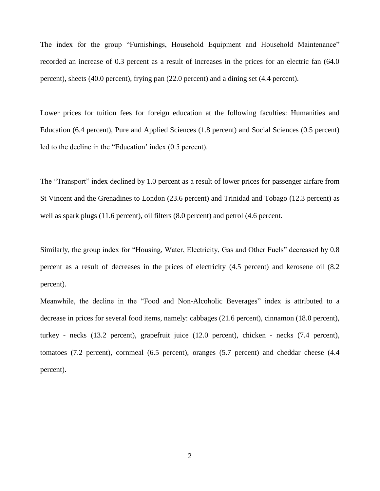The index for the group "Furnishings, Household Equipment and Household Maintenance" recorded an increase of 0.3 percent as a result of increases in the prices for an electric fan (64.0 percent), sheets (40.0 percent), frying pan (22.0 percent) and a dining set (4.4 percent).

Lower prices for tuition fees for foreign education at the following faculties: Humanities and Education (6.4 percent), Pure and Applied Sciences (1.8 percent) and Social Sciences (0.5 percent) led to the decline in the "Education' index (0.5 percent).

The "Transport" index declined by 1.0 percent as a result of lower prices for passenger airfare from St Vincent and the Grenadines to London (23.6 percent) and Trinidad and Tobago (12.3 percent) as well as spark plugs (11.6 percent), oil filters (8.0 percent) and petrol (4.6 percent.

Similarly, the group index for "Housing, Water, Electricity, Gas and Other Fuels" decreased by 0.8 percent as a result of decreases in the prices of electricity (4.5 percent) and kerosene oil (8.2 percent).

Meanwhile, the decline in the "Food and Non-Alcoholic Beverages" index is attributed to a decrease in prices for several food items, namely: cabbages (21.6 percent), cinnamon (18.0 percent), turkey - necks (13.2 percent), grapefruit juice (12.0 percent), chicken - necks (7.4 percent), tomatoes (7.2 percent), cornmeal (6.5 percent), oranges (5.7 percent) and cheddar cheese (4.4 percent).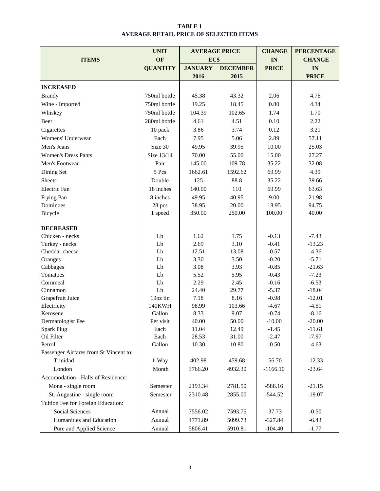#### **TABLE 1 AVERAGE RETAIL PRICE OF SELECTED ITEMS**

|                                        | <b>UNIT</b>     | <b>AVERAGE PRICE</b> | <b>CHANGE</b>   | <b>PERCENTAGE</b>  |                    |
|----------------------------------------|-----------------|----------------------|-----------------|--------------------|--------------------|
| <b>ITEMS</b>                           | OF              | EC\$                 |                 | IN                 | <b>CHANGE</b>      |
|                                        | <b>QUANTITY</b> | <b>JANUARY</b>       | <b>DECEMBER</b> | <b>PRICE</b>       | IN                 |
|                                        |                 | 2016                 | 2015            |                    | <b>PRICE</b>       |
| <b>INCREASED</b>                       |                 |                      |                 |                    |                    |
| <b>Brandy</b>                          | 750ml bottle    | 45.38                | 43.32           | 2.06               | 4.76               |
| Wine - Imported                        | 750ml bottle    | 19.25                | 18.45           | 0.80               | 4.34               |
| Whiskey                                | 750ml bottle    | 104.39               | 102.65          | 1.74               | 1.70               |
| Beer                                   | 280ml bottle    | 4.61                 | 4.51            | 0.10               | 2.22               |
|                                        |                 | 3.86                 | 3.74            | 0.12               | 3.21               |
| Cigarettes                             | 10 pack         |                      | 5.06            |                    |                    |
| Womens' Underwear                      | Each            | 7.95                 |                 | 2.89               | 57.11              |
| Men's Jeans                            | Size 30         | 49.95                | 39.95           | 10.00              | 25.03              |
| <b>Women's Dress Pants</b>             | Size 13/14      | 70.00                | 55.00           | 15.00              | 27.27              |
| Men's Footwear                         | Pair            | 145.00               | 109.78          | 35.22              | 32.08              |
| Dining Set                             | 5 Pcs           | 1662.61              | 1592.62         | 69.99              | 4.39               |
| <b>Sheets</b>                          | Double          | 125                  | 88.8            | 35.22              | 39.66              |
| <b>Electric</b> Fan                    | 18 inches       | 140.00               | 110             | 69.99              | 63.63              |
| Frying Pan                             | 8 inches        | 49.95                | 40.95           | 9.00               | 21.98              |
| Dominoes                               | 28 pcs          | 38.95                | 20.00           | 18.95              | 94.75              |
| Bicycle                                | 1 speed         | 350.00               | 250.00          | 100.00             | 40.00              |
| <b>DECREASED</b>                       |                 |                      |                 |                    |                    |
| Chicken - necks                        | Lb              | 1.62                 | 1.75            | $-0.13$            | $-7.43$            |
| Turkey - necks                         | Lb              | 2.69                 | 3.10            | $-0.41$            | $-13.23$           |
| Cheddar cheese                         | Lb              | 12.51                | 13.08           | $-0.57$            | $-4.36$            |
| Oranges                                | Lb              | 3.30                 | 3.50            | $-0.20$            | $-5.71$            |
| Cabbages                               | Lb              | 3.08                 | 3.93            | $-0.85$            | $-21.63$           |
| Tomatoes                               | Lb              | 5.52                 | 5.95            | $-0.43$            | $-7.23$            |
| Cornmeal                               | Lb              | 2.29                 | 2.45            | $-0.16$            | $-6.53$            |
| Cinnamon                               | Lb              | 24.40                | 29.77           | $-5.37$            | $-18.04$           |
| Grapefruit Juice                       | 19oz tin        | 7.18                 | 8.16            | $-0.98$            | $-12.01$           |
| Electricity                            | 140KWH          | 98.99                | 103.66          | $-4.67$            | $-4.51$            |
| Kerosene                               | Gallon          | 8.33                 | 9.07            | $-0.74$            | $-8.16$            |
| Dermatologist Fee                      | Per visit       | 40.00                | 50.00           | $-10.00$           | $-20.00$           |
| <b>Spark Plug</b><br>Oil Filter        | Each            | 11.04                | 12.49           | $-1.45$            | $-11.61$           |
| Petrol                                 | Each<br>Gallon  | 28.53<br>10.30       | 31.00<br>10.80  | $-2.47$<br>$-0.50$ | $-7.97$<br>$-4.63$ |
| Passenger Airfares from St Vincent to: |                 |                      |                 |                    |                    |
| Trinidad                               | 1-Way           | 402.98               | 459.68          | $-56.70$           | $-12.33$           |
| London                                 | Month           | 3766.20              | 4932.30         | $-1166.10$         | $-23.64$           |
| Accomodation - Halls of Residence:     |                 |                      |                 |                    |                    |
| Mona - single room                     | Semester        | 2193.34              | 2781.50         | $-588.16$          | $-21.15$           |
| St. Augustine - single room            | Semester        | 2310.48              | 2855.00         | $-544.52$          | $-19.07$           |
| Tuition Fee for Foreign Education:     |                 |                      |                 |                    |                    |
| <b>Social Sciences</b>                 | Annual          | 7556.02              | 7593.75         | $-37.73$           | $-0.50$            |
| Humanities and Education               | Annual          | 4771.89              | 5099.73         | $-327.84$          | $-6.43$            |
| Pure and Applied Science               | Annual          | 5806.41              | 5910.81         | $-104.40$          | $-1.77$            |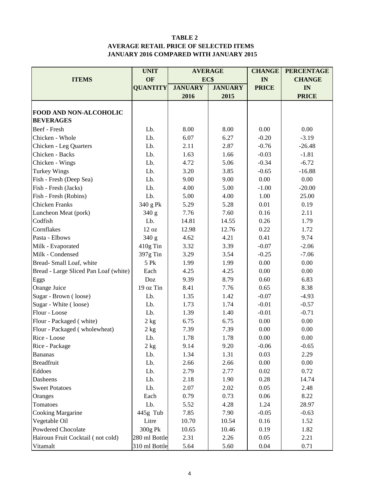#### **TABLE 2 AVERAGE RETAIL PRICE OF SELECTED ITEMS JANUARY 2016 COMPARED WITH JANUARY 2015**

|                                       | <b>UNIT</b>     |                | <b>AVERAGE</b> | <b>CHANGE</b> | <b>PERCENTAGE</b> |
|---------------------------------------|-----------------|----------------|----------------|---------------|-------------------|
| <b>ITEMS</b>                          | OF              | EC\$           |                | IN            | <b>CHANGE</b>     |
|                                       | <b>QUANTITY</b> | <b>JANUARY</b> | <b>JANUARY</b> | <b>PRICE</b>  | IN                |
|                                       |                 | 2016           | 2015           |               | <b>PRICE</b>      |
|                                       |                 |                |                |               |                   |
| FOOD AND NON-ALCOHOLIC                |                 |                |                |               |                   |
| <b>BEVERAGES</b>                      |                 |                |                |               |                   |
| Beef - Fresh                          | Lb.             | 8.00           | 8.00           | 0.00          | 0.00              |
| Chicken - Whole                       | Lb.             | 6.07           | 6.27           | $-0.20$       | $-3.19$           |
| Chicken - Leg Quarters                | Lb.             | 2.11           | 2.87           | $-0.76$       | $-26.48$          |
| Chicken - Backs                       | Lb.             | 1.63           | 1.66           | $-0.03$       | $-1.81$           |
| Chicken - Wings                       | Lb.             | 4.72           | 5.06           | $-0.34$       | $-6.72$           |
| <b>Turkey Wings</b>                   | Lb.             | 3.20           | 3.85           | $-0.65$       | $-16.88$          |
| Fish - Fresh (Deep Sea)               | Lb.             | 9.00           | 9.00           | 0.00          | 0.00              |
| Fish - Fresh (Jacks)                  | Lb.             | 4.00           | 5.00           | $-1.00$       | $-20.00$          |
| Fish - Fresh (Robins)                 | Lb.             | 5.00           | 4.00           | 1.00          | 25.00             |
| <b>Chicken Franks</b>                 | 340 g Pk        | 5.29           | 5.28           | 0.01          | 0.19              |
| Luncheon Meat (pork)                  | 340 g           | 7.76           | 7.60           | 0.16          | 2.11              |
| Codfish                               | Lb.             | 14.81          | 14.55          | 0.26          | 1.79              |
| Cornflakes                            | 12 oz           | 12.98          | 12.76          | 0.22          | 1.72              |
| Pasta - Elbows                        | 340 g           | 4.21<br>4.62   |                | 0.41          | 9.74              |
| Milk - Evaporated                     | 410g Tin        | 3.32<br>3.39   |                | $-0.07$       | $-2.06$           |
| Milk - Condensed                      | 397g Tin        | 3.29           | 3.54           | $-0.25$       | $-7.06$           |
| Bread-Small Loaf, white               | 5 Pk            | 1.99           | 1.99           | 0.00          | 0.00              |
| Bread - Large Sliced Pan Loaf (white) | Each            | 4.25           | 4.25           | 0.00          | 0.00              |
| Eggs                                  | Doz             | 9.39           | 8.79           | 0.60          | 6.83              |
| Orange Juice                          | 19 oz Tin       | 8.41           | 7.76           | 0.65          | 8.38              |
| Sugar - Brown (loose)                 | Lb.             | 1.35           | 1.42           | $-0.07$       | $-4.93$           |
| Sugar - White (loose)                 | Lb.             | 1.73           | 1.74           | $-0.01$       | $-0.57$           |
| Flour - Loose                         | Lb.             | 1.39           | 1.40           | $-0.01$       | $-0.71$           |
| Flour - Packaged (white)              | $2$ kg          | 6.75           | 6.75           | 0.00          | 0.00              |
| Flour - Packaged (wholewheat)         | 2 kg            | 7.39           | 7.39           | 0.00          | 0.00              |
| Rice - Loose                          | Lb.             | 1.78           | 1.78           | 0.00          | 0.00              |
| Rice - Package                        | $2\;{\rm kg}$   | 9.14           | 9.20           | $-0.06$       | $-0.65$           |
| <b>Bananas</b>                        | Lb.             | 1.34           | 1.31           | 0.03          | 2.29              |
| <b>Breadfruit</b>                     | Lb.             | 2.66           | 2.66           | 0.00          | 0.00              |
| Eddoes                                | Lb.             | 2.79           | 2.77           | 0.02          | 0.72              |
| Dasheens                              | Lb.             | 2.18           | 1.90           | 0.28          | 14.74             |
| <b>Sweet Potatoes</b>                 | Lb.             | 2.07           | 2.02           | 0.05          | 2.48              |
| Oranges                               | Each            | 0.79           | 0.73           | 0.06          | 8.22              |
| Tomatoes                              | Lb.             | 5.52           | 4.28           | 1.24          | 28.97             |
| Cooking Margarine                     | 445g Tub        | 7.85           | 7.90           | $-0.05$       | $-0.63$           |
| Vegetable Oil                         | Litre           | 10.70          | 10.54          | 0.16          | 1.52              |
| Powdered Chocolate                    | 300g Pk         | 10.65          | 10.46          | 0.19          | 1.82              |
| Hairoun Fruit Cocktail (not cold)     | 280 ml Bottle   | 2.31           | 2.26           | 0.05          | 2.21              |
| Vitamalt                              | 310 ml Bottle   | 5.64           | 5.60           | 0.04          | 0.71              |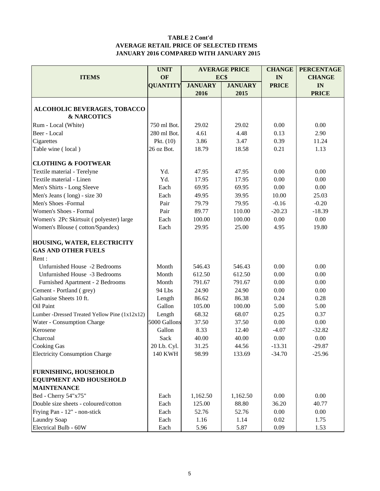#### **TABLE 2 Cont'd AVERAGE RETAIL PRICE OF SELECTED ITEMS JANUARY 2016 COMPARED WITH JANUARY 2015**

|                                               | <b>UNIT</b>     |                | <b>AVERAGE PRICE</b> | <b>CHANGE</b> | <b>PERCENTAGE</b> |
|-----------------------------------------------|-----------------|----------------|----------------------|---------------|-------------------|
| <b>ITEMS</b>                                  | OF              |                | EC\$                 | IN            | <b>CHANGE</b>     |
|                                               | <b>QUANTITY</b> | <b>JANUARY</b> | <b>JANUARY</b>       | <b>PRICE</b>  | IN                |
|                                               |                 | 2016           | 2015                 |               | <b>PRICE</b>      |
|                                               |                 |                |                      |               |                   |
| ALCOHOLIC BEVERAGES, TOBACCO                  |                 |                |                      |               |                   |
| <b>&amp; NARCOTICS</b>                        |                 |                |                      |               |                   |
| Rum - Local (White)                           | 750 ml Bot.     | 29.02          | 29.02                | 0.00          | 0.00              |
| Beer - Local                                  | 280 ml Bot.     | 4.61           | 4.48                 | 0.13          | 2.90              |
| Cigarettes                                    | Pkt. $(10)$     | 3.86           | 3.47                 | 0.39          | 11.24             |
| Table wine (local)                            | 26 oz Bot.      | 18.79          | 18.58                | 0.21          | 1.13              |
|                                               |                 |                |                      |               |                   |
| <b>CLOTHING &amp; FOOTWEAR</b>                |                 |                |                      |               |                   |
| Textile material - Terelyne                   | Yd.             | 47.95          | 47.95                | 0.00          | 0.00              |
| Textile material - Linen                      | Yd.             | 17.95          | 17.95                | 0.00          | 0.00              |
| Men's Shirts - Long Sleeve                    | Each            | 69.95          | 69.95                | 0.00          | 0.00              |
| Men's Jeans (long) - size 30                  | Each            | 49.95          | 39.95                | 10.00         | 25.03             |
| Men's Shoes -Formal                           | Pair            | 79.79          | 79.95                | $-0.16$       | $-0.20$           |
| Women's Shoes - Formal                        | Pair            | 89.77          | 110.00               | $-20.23$      | $-18.39$          |
| Women's 2Pc Skirtsuit (polyester) large       | Each            | 100.00         | 100.00               | 0.00          | 0.00              |
| Women's Blouse (cotton/Spandex)               | Each            | 29.95          | 25.00                | 4.95          | 19.80             |
|                                               |                 |                |                      |               |                   |
| HOUSING, WATER, ELECTRICITY                   |                 |                |                      |               |                   |
| <b>GAS AND OTHER FUELS</b>                    |                 |                |                      |               |                   |
| Rent:                                         |                 |                |                      |               |                   |
| Unfurnished House -2 Bedrooms                 | Month           | 546.43         | 546.43               | 0.00          | 0.00              |
| Unfurnished House -3 Bedrooms                 | Month           | 612.50         | 612.50               | 0.00          | 0.00              |
| Furnished Apartment - 2 Bedrooms              | Month           | 791.67         | 791.67               | 0.00          | 0.00              |
| Cement - Portland (grey)                      | 94 Lbs          | 24.90          | 24.90                | 0.00          | 0.00              |
| Galvanise Sheets 10 ft.                       |                 | 86.62          | 86.38                | 0.24          | 0.28              |
|                                               | Length          |                |                      |               |                   |
| Oil Paint                                     | Gallon          | 105.00         | 100.00               | 5.00          | 5.00              |
| Lumber -Dressed Treated Yellow Pine (1x12x12) | Length          | 68.32          | 68.07                | 0.25          | 0.37              |
| Water - Consumption Charge                    | 5000 Gallons    | 37.50          | 37.50                | 0.00          | 0.00              |
| Kerosene                                      | Gallon          | 8.33           | 12.40                | $-4.07$       | $-32.82$          |
| Charcoal                                      | Sack            | 40.00          | 40.00                | 0.00          | 0.00              |
| <b>Cooking Gas</b>                            | 20 Lb. Cyl.     | 31.25          | 44.56                | $-13.31$      | $-29.87$          |
| <b>Electricity Consumption Charge</b>         | <b>140 KWH</b>  | 98.99          | 133.69               | $-34.70$      | $-25.96$          |
|                                               |                 |                |                      |               |                   |
| <b>FURNISHING, HOUSEHOLD</b>                  |                 |                |                      |               |                   |
| <b>EQUIPMENT AND HOUSEHOLD</b>                |                 |                |                      |               |                   |
| <b>MAINTENANCE</b>                            |                 |                |                      |               |                   |
| Bed - Cherry 54"x75"                          | Each            | 1,162.50       | 1,162.50             | 0.00          | 0.00              |
| Double size sheets - coloured/cotton          | Each            | 125.00         | 88.80                | 36.20         | 40.77             |
| Frying Pan - 12" - non-stick                  | Each            | 52.76          | 52.76                | 0.00          | 0.00              |
| <b>Laundry Soap</b>                           | Each            | 1.16           | 1.14                 | 0.02          | 1.75              |
| Electrical Bulb - 60W                         | Each            | 5.96           | 5.87                 | 0.09          | 1.53              |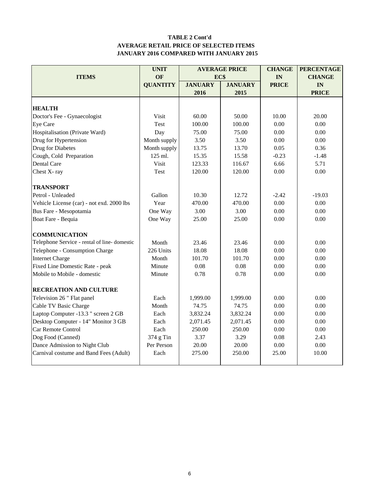#### **TABLE 2 Cont'd AVERAGE RETAIL PRICE OF SELECTED ITEMS JANUARY 2016 COMPARED WITH JANUARY 2015**

|                                             | <b>UNIT</b>     |                | <b>AVERAGE PRICE</b> | <b>CHANGE</b> | <b>PERCENTAGE</b> |
|---------------------------------------------|-----------------|----------------|----------------------|---------------|-------------------|
| <b>ITEMS</b>                                | <b>OF</b>       | EC\$           |                      | IN            | <b>CHANGE</b>     |
|                                             | <b>QUANTITY</b> | <b>JANUARY</b> | <b>JANUARY</b>       | <b>PRICE</b>  | IN                |
|                                             |                 | 2016           | 2015                 |               | <b>PRICE</b>      |
|                                             |                 |                |                      |               |                   |
| <b>HEALTH</b>                               |                 |                |                      |               |                   |
| Doctor's Fee - Gynaecologist                | Visit           | 60.00          | 50.00                | 10.00         | 20.00             |
| Eye Care                                    | Test            | 100.00         | 100.00               | 0.00          | 0.00              |
| Hospitalisation (Private Ward)              | Day             | 75.00          | 75.00                | 0.00          | 0.00              |
| Drug for Hypertension                       | Month supply    | 3.50           | 3.50                 | 0.00          | 0.00              |
| Drug for Diabetes                           | Month supply    | 13.75          | 13.70                | 0.05          | 0.36              |
| Cough, Cold Preparation                     | 125 ml.         | 15.35          | 15.58                | $-0.23$       | $-1.48$           |
| <b>Dental Care</b>                          | Visit           | 123.33         | 116.67               | 6.66          | 5.71              |
| Chest X-ray                                 | Test            | 120.00         | 120.00               | 0.00          | 0.00              |
| <b>TRANSPORT</b>                            |                 |                |                      |               |                   |
| Petrol - Unleaded                           | Gallon          | 10.30          | 12.72                | $-2.42$       | $-19.03$          |
| Vehicle License (car) - not exd. 2000 lbs   | Year            | 470.00         | 470.00               | 0.00          | 0.00              |
| Bus Fare - Mesopotamia                      | One Way         | 3.00           | 3.00                 | 0.00          | 0.00              |
| Boat Fare - Bequia                          | One Way         | 25.00          | 25.00                | 0.00          | 0.00              |
| <b>COMMUNICATION</b>                        |                 |                |                      |               |                   |
| Telephone Service - rental of line-domestic | Month           | 23.46          | 23.46                | 0.00          | 0.00              |
| Telephone - Consumption Charge              | 226 Units       | 18.08          | 18.08                | 0.00          | 0.00              |
| <b>Internet Charge</b>                      | Month           | 101.70         | 101.70               | 0.00          | 0.00              |
| Fixed Line Domestic Rate - peak             | Minute          | 0.08           | 0.08                 | 0.00          | 0.00              |
| Mobile to Mobile - domestic                 | Minute          | 0.78           | 0.78                 | 0.00          | 0.00              |
| <b>RECREATION AND CULTURE</b>               |                 |                |                      |               |                   |
| Television 26" Flat panel                   | Each            | 1,999.00       | 1,999.00             | 0.00          | 0.00              |
| Cable TV Basic Charge                       | Month           | 74.75          | 74.75                | 0.00          | 0.00              |
| Laptop Computer -13.3 " screen 2 GB         | Each            | 3,832.24       | 3,832.24             | 0.00          | 0.00              |
| Desktop Computer - 14" Monitor 3 GB         | Each            | 2,071.45       | 2,071.45             | 0.00          | 0.00              |
| Car Remote Control                          | Each            | 250.00         | 250.00               | 0.00          | 0.00              |
| Dog Food (Canned)                           | 374 g Tin       | 3.37           | 3.29                 | 0.08          | 2.43              |
| Dance Admission to Night Club               | Per Person      | 20.00          | 20.00                | 0.00          | 0.00              |
| Carnival costume and Band Fees (Adult)      | Each            | 275.00         | 250.00               | 25.00         | 10.00             |
|                                             |                 |                |                      |               |                   |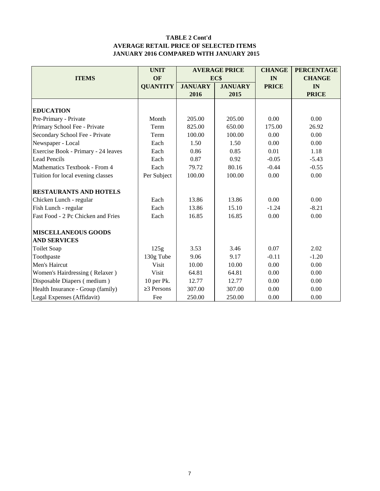#### **TABLE 2 Cont'd AVERAGE RETAIL PRICE OF SELECTED ITEMS JANUARY 2016 COMPARED WITH JANUARY 2015**

|                                     | <b>UNIT</b><br><b>AVERAGE PRICE</b> |                |                | <b>CHANGE</b> | <b>PERCENTAGE</b> |
|-------------------------------------|-------------------------------------|----------------|----------------|---------------|-------------------|
| <b>ITEMS</b>                        | OF                                  |                | EC\$           | IN            | <b>CHANGE</b>     |
|                                     | <b>QUANTITY</b>                     | <b>JANUARY</b> | <b>JANUARY</b> | <b>PRICE</b>  | IN                |
|                                     |                                     | 2016           | 2015           |               | <b>PRICE</b>      |
|                                     |                                     |                |                |               |                   |
| <b>EDUCATION</b>                    |                                     |                |                |               |                   |
| Pre-Primary - Private               | Month                               | 205.00         | 205.00         | 0.00          | 0.00              |
| Primary School Fee - Private        | Term                                | 825.00         | 650.00         | 175.00        | 26.92             |
| Secondary School Fee - Private      | Term                                | 100.00         | 100.00         | 0.00          | 0.00              |
| Newspaper - Local                   | Each                                | 1.50           | 1.50           | 0.00          | 0.00              |
| Exercise Book - Primary - 24 leaves | Each                                | 0.86           | 0.85           | 0.01          | 1.18              |
| <b>Lead Pencils</b>                 | Each                                | 0.87           | 0.92           | $-0.05$       | $-5.43$           |
| Mathematics Textbook - From 4       | Each                                | 79.72          | 80.16          | $-0.44$       | $-0.55$           |
| Tuition for local evening classes   | Per Subject                         | 100.00         | 100.00         | 0.00          | 0.00              |
| <b>RESTAURANTS AND HOTELS</b>       |                                     |                |                |               |                   |
| Chicken Lunch - regular             | Each                                | 13.86          | 13.86          | 0.00          | 0.00              |
| Fish Lunch - regular                | Each                                | 13.86          | 15.10          | $-1.24$       | $-8.21$           |
| Fast Food - 2 Pc Chicken and Fries  | Each                                | 16.85          | 16.85          | 0.00          | 0.00              |
| <b>MISCELLANEOUS GOODS</b>          |                                     |                |                |               |                   |
| <b>AND SERVICES</b>                 |                                     |                |                |               |                   |
| <b>Toilet Soap</b>                  | 125g                                | 3.53           | 3.46           | 0.07          | 2.02              |
| Toothpaste                          | 130g Tube                           | 9.06           | 9.17           | $-0.11$       | $-1.20$           |
| Men's Haircut                       | <b>Visit</b>                        | 10.00          | 10.00          | 0.00          | 0.00              |
| Women's Hairdressing (Relaxer)      | Visit                               | 64.81          | 64.81          | 0.00          | 0.00              |
| Disposable Diapers (medium)         | 10 per Pk.                          | 12.77          | 12.77          | 0.00          | 0.00              |
| Health Insurance - Group (family)   | $\geq$ 3 Persons                    | 307.00         | 307.00         | 0.00          | 0.00              |
| Legal Expenses (Affidavit)          | Fee                                 | 250.00         | 250.00         | 0.00          | 0.00              |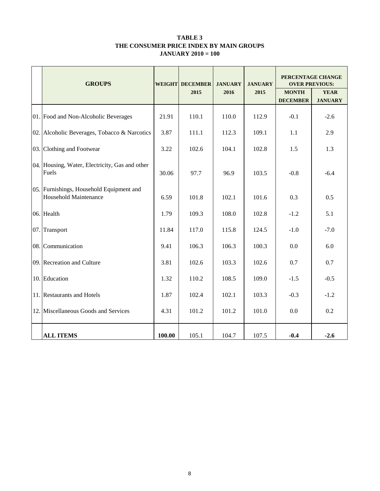#### **TABLE 3 THE CONSUMER PRICE INDEX BY MAIN GROUPS JANUARY 2010 = 100**

| <b>GROUPS</b>                                                            |        | <b>WEIGHT DECEMBER</b> | <b>JANUARY</b> | <b>JANUARY</b> | PERCENTAGE CHANGE<br><b>OVER PREVIOUS:</b> |                               |  |
|--------------------------------------------------------------------------|--------|------------------------|----------------|----------------|--------------------------------------------|-------------------------------|--|
|                                                                          |        | 2015                   | 2016           | 2015           | <b>MONTH</b><br><b>DECEMBER</b>            | <b>YEAR</b><br><b>JANUARY</b> |  |
| 01. Food and Non-Alcoholic Beverages                                     | 21.91  | 110.1                  | 110.0          | 112.9          | $-0.1$                                     | $-2.6$                        |  |
| 02. Alcoholic Beverages, Tobacco & Narcotics                             | 3.87   | 111.1                  | 112.3          | 109.1          | 1.1                                        | 2.9                           |  |
| 03. Clothing and Footwear                                                | 3.22   | 102.6                  | 104.1          | 102.8          | 1.5                                        | 1.3                           |  |
| 04. Housing, Water, Electricity, Gas and other<br>Fuels                  | 30.06  | 97.7                   | 96.9           | 103.5          | $-0.8$                                     | $-6.4$                        |  |
| 05. Furnishings, Household Equipment and<br><b>Household Maintenance</b> | 6.59   | 101.8                  | 102.1          | 101.6          | 0.3                                        | 0.5                           |  |
| 06. Health                                                               | 1.79   | 109.3                  | 108.0          | 102.8          | $-1.2$                                     | 5.1                           |  |
| 07. Transport                                                            | 11.84  | 117.0                  | 115.8          | 124.5          | $-1.0$                                     | $-7.0$                        |  |
| 08. Communication                                                        | 9.41   | 106.3                  | 106.3          | 100.3          | 0.0                                        | 6.0                           |  |
| 09. Recreation and Culture                                               | 3.81   | 102.6                  | 103.3          | 102.6          | 0.7                                        | 0.7                           |  |
| 10. Education                                                            | 1.32   | 110.2                  | 108.5          | 109.0          | $-1.5$                                     | $-0.5$                        |  |
| 11. Restaurants and Hotels                                               | 1.87   | 102.4                  | 102.1          | 103.3          | $-0.3$                                     | $-1.2$                        |  |
| 12. Miscellaneous Goods and Services                                     | 4.31   | 101.2                  | 101.2          | 101.0          | 0.0                                        | 0.2                           |  |
| <b>ALL ITEMS</b>                                                         | 100.00 | 105.1                  | 104.7          | 107.5          | $-0.4$                                     | $-2.6$                        |  |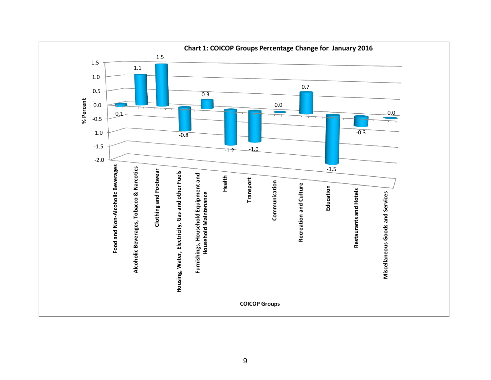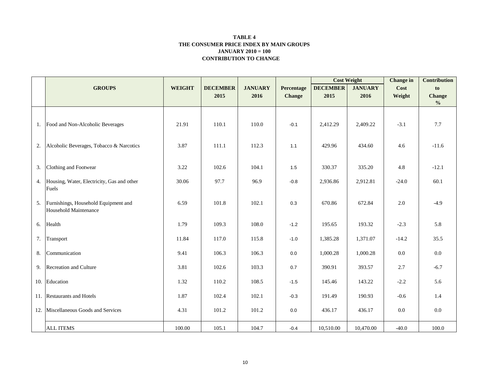#### **CONTRIBUTION TO CHANGE TABLE 4 THE CONSUMER PRICE INDEX BY MAIN GROUPS JANUARY 2010 = 100**

|     |                                               |               |                 |                |               | <b>Cost Weight</b> |                | <b>Change</b> in | <b>Contribution</b> |
|-----|-----------------------------------------------|---------------|-----------------|----------------|---------------|--------------------|----------------|------------------|---------------------|
|     | <b>GROUPS</b>                                 | <b>WEIGHT</b> | <b>DECEMBER</b> | <b>JANUARY</b> | Percentage    | <b>DECEMBER</b>    | <b>JANUARY</b> | Cost             | to                  |
|     |                                               |               | 2015            | 2016           | <b>Change</b> | 2015               | 2016           | Weight           | <b>Change</b>       |
|     |                                               |               |                 |                |               |                    |                |                  | $\frac{0}{0}$       |
|     |                                               |               |                 |                |               |                    |                |                  |                     |
| 1.  | Food and Non-Alcoholic Beverages              | 21.91         | 110.1           | 110.0          | $-0.1$        | 2,412.29           | 2,409.22       | $-3.1$           | 7.7                 |
|     |                                               |               |                 |                |               |                    |                |                  |                     |
| 2.  | Alcoholic Beverages, Tobacco & Narcotics      | 3.87          | 111.1           | 112.3          | 1.1           | 429.96             | 434.60         | 4.6              | $-11.6$             |
|     |                                               |               |                 |                |               |                    |                |                  |                     |
|     |                                               |               |                 |                |               |                    |                |                  |                     |
| 3.  | Clothing and Footwear                         | 3.22          | 102.6           | 104.1          | 1.5           | 330.37             | 335.20         | 4.8              | $-12.1$             |
|     | 4. Housing, Water, Electricity, Gas and other | 30.06         | 97.7            | 96.9           | $-0.8$        | 2,936.86           | 2,912.81       | $-24.0$          | 60.1                |
|     | Fuels                                         |               |                 |                |               |                    |                |                  |                     |
| 5.  | Furnishings, Household Equipment and          | 6.59          | 101.8           | 102.1          | 0.3           | 670.86             | 672.84         | 2.0              | $-4.9$              |
|     | Household Maintenance                         |               |                 |                |               |                    |                |                  |                     |
|     |                                               |               |                 |                |               |                    |                |                  |                     |
| 6.  | Health                                        | 1.79          | 109.3           | 108.0          | $-1.2$        | 195.65             | 193.32         | $-2.3$           | 5.8                 |
| 7.  | Transport                                     | 11.84         | 117.0           | 115.8          | $-1.0$        | 1,385.28           | 1,371.07       | $-14.2$          | 35.5                |
|     |                                               |               |                 |                |               |                    |                |                  |                     |
| 8.  | Communication                                 | 9.41          | 106.3           | 106.3          | 0.0           | 1,000.28           | 1,000.28       | 0.0              | 0.0                 |
| 9.  | Recreation and Culture                        | 3.81          | 102.6           | 103.3          | 0.7           | 390.91             | 393.57         | 2.7              | $-6.7$              |
|     |                                               |               |                 |                |               |                    |                |                  |                     |
|     | 10. Education                                 | 1.32          | 110.2           | 108.5          | $-1.5$        | 145.46             | 143.22         | $-2.2$           | 5.6                 |
|     | 11. Restaurants and Hotels                    | 1.87          | 102.4           | 102.1          | $-0.3$        | 191.49             | 190.93         | $-0.6$           | 1.4                 |
|     |                                               |               |                 |                |               |                    |                |                  |                     |
| 12. | Miscellaneous Goods and Services              | 4.31          | 101.2           | 101.2          | 0.0           | 436.17             | 436.17         | 0.0              | $0.0\,$             |
|     | <b>ALL ITEMS</b>                              | 100.00        | 105.1           | 104.7          | $-0.4$        | 10,510.00          | 10,470.00      | $-40.0$          | 100.0               |